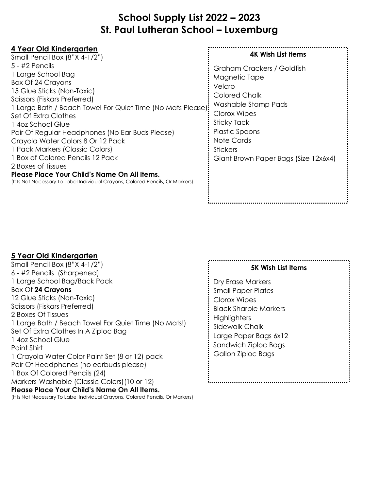# **School Supply List 2022 – 2023 St. Paul Lutheran School – Luxemburg**

| 4 Year Old Kindergarten                                                                                                                                                                                                                                                                                                                                                                                                                                                                                                                                      |                                                                                                                                                                                                                                |
|--------------------------------------------------------------------------------------------------------------------------------------------------------------------------------------------------------------------------------------------------------------------------------------------------------------------------------------------------------------------------------------------------------------------------------------------------------------------------------------------------------------------------------------------------------------|--------------------------------------------------------------------------------------------------------------------------------------------------------------------------------------------------------------------------------|
| Small Pencil Box (8"X 4-1/2")                                                                                                                                                                                                                                                                                                                                                                                                                                                                                                                                | <b>4K Wish List Items</b>                                                                                                                                                                                                      |
| $5 - 42$ Pencils<br>1 Large School Bag<br>Box Of 24 Crayons<br>15 Glue Sticks (Non-Toxic)<br>Scissors (Fiskars Preferred)<br>1 Large Bath / Beach Towel For Quiet Time (No Mats Please):<br>Set Of Extra Clothes<br>1 4oz School Glue<br>Pair Of Regular Headphones (No Ear Buds Please)<br>Crayola Water Colors 8 Or 12 Pack<br>1 Pack Markers (Classic Colors)<br>1 Box of Colored Pencils 12 Pack<br>2 Boxes of Tissues<br>Please Place Your Child's Name On All Items.<br>(It is Not Necessary To Label Individual Crayons, Colored Pencils, Or Markers) | Graham Crackers / Goldfish<br>Magnetic Tape<br>Velcro<br><b>Colored Chalk</b><br>Washable Stamp Pads<br>Clorox Wipes<br>Sticky Tack<br>Plastic Spoons<br>Note Cards<br><b>Stickers</b><br>Giant Brown Paper Bags (Size 12x6x4) |
|                                                                                                                                                                                                                                                                                                                                                                                                                                                                                                                                                              |                                                                                                                                                                                                                                |

### **5 Year Old Kindergarten**

| Small Pencil Box (8"X 4-1/2")                                                  |  |  |
|--------------------------------------------------------------------------------|--|--|
| 6 - #2 Pencils (Sharpened)                                                     |  |  |
| 1 Large School Bag/Back Pack                                                   |  |  |
| Box Of 24 Crayons                                                              |  |  |
| 12 Glue Sticks (Non-Toxic)                                                     |  |  |
| Scissors (Fiskars Preferred)                                                   |  |  |
| 2 Boxes Of Tissues                                                             |  |  |
| 1 Large Bath / Beach Towel For Quiet Time (No Mats!)                           |  |  |
| Set Of Extra Clothes In A Ziploc Bag                                           |  |  |
| 1 4oz School Glue                                                              |  |  |
| Paint Shirt                                                                    |  |  |
| 1 Crayola Water Color Paint Set (8 or 12) pack                                 |  |  |
| Pair Of Headphones (no earbuds please)                                         |  |  |
| 1 Box Of Colored Pencils (24)                                                  |  |  |
| Markers-Washable (Classic Colors) (10 or 12)                                   |  |  |
| Please Place Your Child's Name On All Items.                                   |  |  |
| (It Is Not Necessary To Label Individual Crayons, Colored Pencils, Or Markers) |  |  |

#### **5K Wish List Items**

Dry Erase Markers Small Paper Plates Clorox Wipes Black Sharpie Markers : Highlighters Sidewalk Chalk Large Paper Bags 6x12 Sandwich Ziploc Bags Gallon Ziploc Bags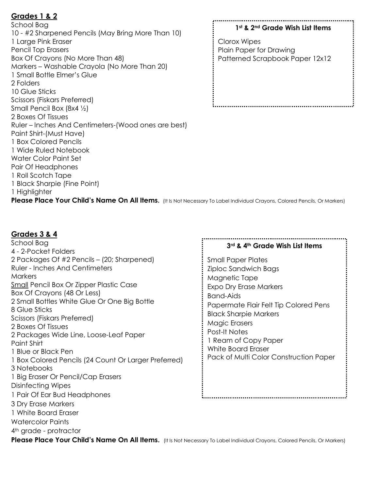## **Grades 1 & 2**

School Bag 10 - #2 Sharpened Pencils (May Bring More Than 10) 1 Large Pink Eraser Pencil Top Erasers Box Of Crayons (No More Than 48) Markers – Washable Crayola (No More Than 20) 1 Small Bottle Elmer's Glue 2 Folders 10 Glue Sticks Scissors (Fiskars Preferred) Small Pencil Box (8x4 ½) 2 Boxes Of Tissues Ruler – Inches And Centimeters-(Wood ones are best) Paint Shirt-(Must Have) 1 Box Colored Pencils 1 Wide Ruled Notebook Water Color Paint Set Pair Of Headphones 1 Roll Scotch Tape 1 Black Sharpie (Fine Point) 1 Highlighter

#### **1st & 2nd Grade Wish List Items**

Clorox Wipes Plain Paper for Drawing Patterned Scrapbook Paper 12x12

Please Place Your Child's Name On All Items. (It Is Not Necessary To Label Individual Crayons, Colored Pencils, Or Markers)

### **Grades 3 & 4**

School Bag **3rd & 4th Grade Wish List Items** 4 - 2-Pocket Folders 2 Packages Of #2 Pencils – (20; Sharpened) Small Paper Plates Ruler - Inches And Centimeters Ziploc Sandwich Bags **Markers** Magnetic Tape **Small Pencil Box Or Zipper Plastic Case** Expo Dry Erase Markers Box Of Crayons (48 Or Less) Band-Aids 2 Small Bottles White Glue Or One Big Bottle Papermate Flair Felt Tip Colored Pens 8 Glue Sticks Black Sharpie Markers Scissors (Fiskars Preferred) Magic Erasers 2 Boxes Of Tissues Post-It Notes 2 Packages Wide Line, Loose-Leaf Paper 1 Ream of Copy Paper Paint Shirt White Board Eraser 1 Blue or Black Pen Pack of Multi Color Construction Paper 1 Box Colored Pencils (24 Count Or Larger Preferred) 3 Notebooks 1 Big Eraser Or Pencil/Cap Erasers Disinfecting Wipes 1 Pair Of Ear Bud Headphones 3 Dry Erase Markers 1 White Board Eraser Watercolor Paints 4th grade - protractor

Please Place Your Child's Name On All Items. (It Is Not Necessary To Label Individual Crayons, Colored Pencils, Or Markers)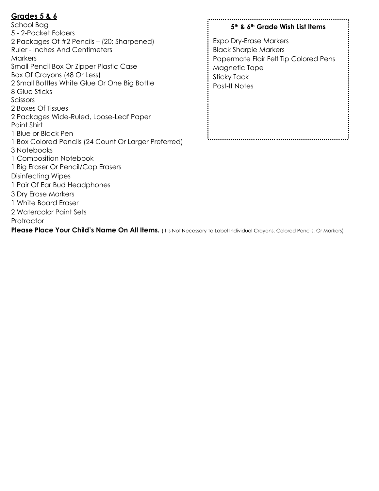## **Grades 5 & 6**

School Bag 5 - 2-Pocket Folders 2 Packages Of #2 Pencils – (20; Sharpened) Ruler - Inches And Centimeters **Markers Small Pencil Box Or Zipper Plastic Case** Box Of Crayons (48 Or Less) 2 Small Bottles White Glue Or One Big Bottle 8 Glue Sticks Scissors 2 Boxes Of Tissues 2 Packages Wide-Ruled, Loose-Leaf Paper Paint Shirt 1 Blue or Black Pen 1 Box Colored Pencils (24 Count Or Larger Preferred) 3 Notebooks 1 Composition Notebook 1 Big Eraser Or Pencil/Cap Erasers Disinfecting Wipes 1 Pair Of Ear Bud Headphones 3 Dry Erase Markers 1 White Board Eraser 2 Watercolor Paint Sets **Protractor** 

### **5th & 6th Grade Wish List Items**

Expo Dry-Erase Markers Black Sharpie Markers Papermate Flair Felt Tip Colored Pens Magnetic Tape Sticky Tack Post-It Notes

Please Place Your Child's Name On All Items. (It Is Not Necessary To Label Individual Crayons, Colored Pencils, Or Markers)